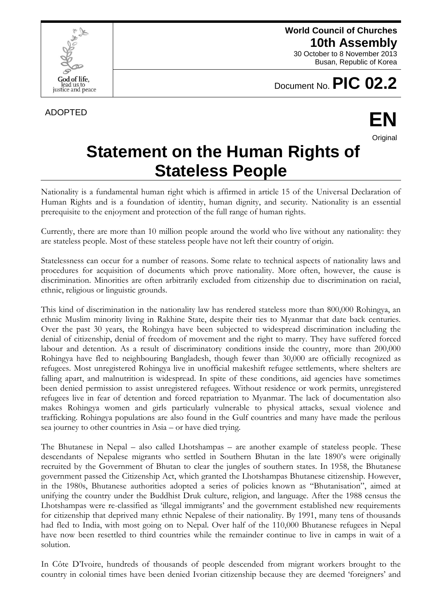**World Council of Churches 10th Assembly**

30 October to 8 November 2013 Busan, Republic of Korea



Document No. **PIC 02.2**

## **Statement on the Human Rights of Stateless People**

Nationality is a fundamental human right which is affirmed in article 15 of the Universal Declaration of Human Rights and is a foundation of identity, human dignity, and security. Nationality is an essential prerequisite to the enjoyment and protection of the full range of human rights.

Currently, there are more than 10 million people around the world who live without any nationality: they are stateless people. Most of these stateless people have not left their country of origin.

Statelessness can occur for a number of reasons. Some relate to technical aspects of nationality laws and procedures for acquisition of documents which prove nationality. More often, however, the cause is discrimination. Minorities are often arbitrarily excluded from citizenship due to discrimination on racial, ethnic, religious or linguistic grounds.

This kind of discrimination in the nationality law has rendered stateless more than 800,000 Rohingya, an ethnic Muslim minority living in Rakhine State, despite their ties to Myanmar that date back centuries. Over the past 30 years, the Rohingya have been subjected to widespread discrimination including the denial of citizenship, denial of freedom of movement and the right to marry. They have suffered forced labour and detention. As a result of discriminatory conditions inside the country, more than 200,000 Rohingya have fled to neighbouring Bangladesh, though fewer than 30,000 are officially recognized as refugees. Most unregistered Rohingya live in unofficial makeshift refugee settlements, where shelters are falling apart, and malnutrition is widespread. In spite of these conditions, aid agencies have sometimes been denied permission to assist unregistered refugees. Without residence or work permits, unregistered refugees live in fear of detention and forced repatriation to Myanmar. The lack of documentation also makes Rohingya women and girls particularly vulnerable to physical attacks, sexual violence and trafficking. Rohingya populations are also found in the Gulf countries and many have made the perilous sea journey to other countries in Asia – or have died trying.

The Bhutanese in Nepal – also called Lhotshampas – are another example of stateless people. These descendants of Nepalese migrants who settled in Southern Bhutan in the late 1890's were originally recruited by the Government of Bhutan to clear the jungles of southern states. In 1958, the Bhutanese government passed the Citizenship Act, which granted the Lhotshampas Bhutanese citizenship. However, in the 1980s, Bhutanese authorities adopted a series of policies known as "Bhutanisation", aimed at unifying the country under the Buddhist Druk culture, religion, and language. After the 1988 census the Lhotshampas were re-classified as 'illegal immigrants' and the government established new requirements for citizenship that deprived many ethnic Nepalese of their nationality. By 1991, many tens of thousands had fled to India, with most going on to Nepal. Over half of the 110,000 Bhutanese refugees in Nepal have now been resettled to third countries while the remainder continue to live in camps in wait of a solution.

In Côte D'Ivoire, hundreds of thousands of people descended from migrant workers brought to the country in colonial times have been denied Ivorian citizenship because they are deemed 'foreigners' and

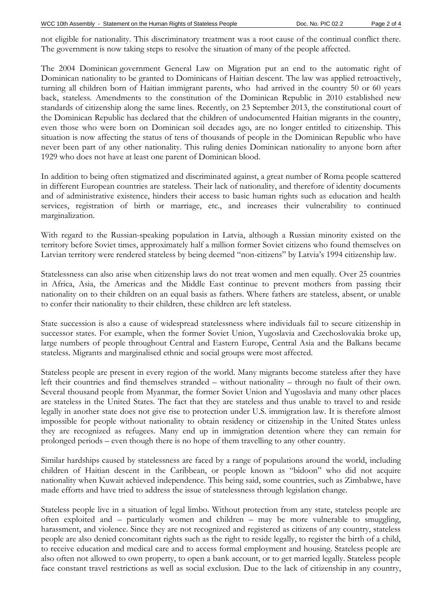not eligible for nationality. This discriminatory treatment was a root cause of the continual conflict there. The government is now taking steps to resolve the situation of many of the people affected.

The 2004 Dominican government General Law on Migration put an end to the automatic right of Dominican nationality to be granted to Dominicans of Haitian descent. The law was applied retroactively, turning all children born of Haitian immigrant parents, who had arrived in the country 50 or 60 years back, stateless. Amendments to the constitution of the Dominican Republic in 2010 established new standards of citizenship along the same lines. Recently, on 23 September 2013, the constitutional court of the Dominican Republic has declared that the children of undocumented Haitian migrants in the country, even those who were born on Dominican soil decades ago, are no longer entitled to citizenship. This situation is now affecting the status of tens of thousands of people in the Dominican Republic who have never been part of any other nationality. This ruling denies Dominican nationality to anyone born after 1929 who does not have at least one parent of Dominican blood.

In addition to being often stigmatized and discriminated against, a great number of Roma people scattered in different European countries are stateless. Their lack of nationality, and therefore of identity documents and of administrative existence, hinders their access to basic human rights such as education and health services, registration of birth or marriage, etc., and increases their vulnerability to continued marginalization.

With regard to the Russian-speaking population in Latvia, although a Russian minority existed on the territory before Soviet times, approximately half a million former Soviet citizens who found themselves on Latvian territory were rendered stateless by being deemed "non-citizens" by Latvia's 1994 citizenship law.

Statelessness can also arise when citizenship laws do not treat women and men equally. Over 25 countries in Africa, Asia, the Americas and the Middle East continue to prevent mothers from passing their nationality on to their children on an equal basis as fathers. Where fathers are stateless, absent, or unable to confer their nationality to their children, these children are left stateless.

State succession is also a cause of widespread statelessness where individuals fail to secure citizenship in successor states. For example, when the former Soviet Union, Yugoslavia and Czechoslovakia broke up, large numbers of people throughout Central and Eastern Europe, Central Asia and the Balkans became stateless. Migrants and marginalised ethnic and social groups were most affected.

Stateless people are present in every region of the world. Many migrants become stateless after they have left their countries and find themselves stranded – without nationality – through no fault of their own. Several thousand people from Myanmar, the former Soviet Union and Yugoslavia and many other places are stateless in the United States. The fact that they are stateless and thus unable to travel to and reside legally in another state does not give rise to protection under U.S. immigration law. It is therefore almost impossible for people without nationality to obtain residency or citizenship in the United States unless they are recognized as refugees. Many end up in immigration detention where they can remain for prolonged periods – even though there is no hope of them travelling to any other country.

Similar hardships caused by statelessness are faced by a range of populations around the world, including children of Haitian descent in the Caribbean, or people known as "bidoon" who did not acquire nationality when Kuwait achieved independence. This being said, some countries, such as Zimbabwe, have made efforts and have tried to address the issue of statelessness through legislation change.

Stateless people live in a situation of legal limbo. Without protection from any state, stateless people are often exploited and – particularly women and children – may be more vulnerable to smuggling, harassment, and violence. Since they are not recognized and registered as citizens of any country, stateless people are also denied concomitant rights such as the right to reside legally, to register the birth of a child, to receive education and medical care and to access formal employment and housing. Stateless people are also often not allowed to own property, to open a bank account, or to get married legally. Stateless people face constant travel restrictions as well as social exclusion. Due to the lack of citizenship in any country,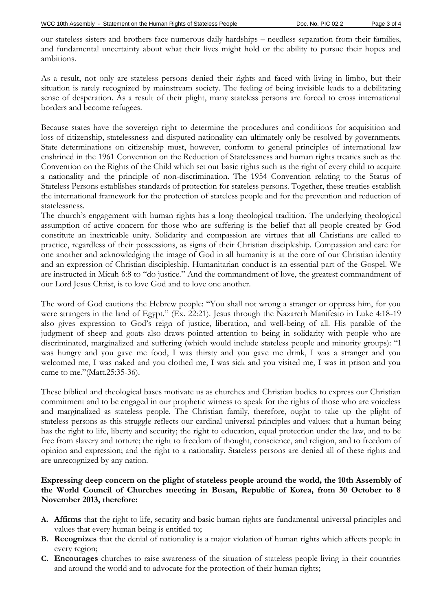our stateless sisters and brothers face numerous daily hardships – needless separation from their families, and fundamental uncertainty about what their lives might hold or the ability to pursue their hopes and ambitions.

As a result, not only are stateless persons denied their rights and faced with living in limbo, but their situation is rarely recognized by mainstream society. The feeling of being invisible leads to a debilitating sense of desperation. As a result of their plight, many stateless persons are forced to cross international borders and become refugees.

Because states have the sovereign right to determine the procedures and conditions for acquisition and loss of citizenship, statelessness and disputed nationality can ultimately only be resolved by governments. State determinations on citizenship must, however, conform to general principles of international law enshrined in the 1961 Convention on the Reduction of Statelessness and human rights treaties such as the Convention on the Rights of the Child which set out basic rights such as the right of every child to acquire a nationality and the principle of non-discrimination. The 1954 Convention relating to the Status of Stateless Persons establishes standards of protection for stateless persons. Together, these treaties establish the international framework for the protection of stateless people and for the prevention and reduction of statelessness.

The church's engagement with human rights has a long theological tradition. The underlying theological assumption of active concern for those who are suffering is the belief that all people created by God constitute an inextricable unity. Solidarity and compassion are virtues that all Christians are called to practice, regardless of their possessions, as signs of their Christian discipleship. Compassion and care for one another and acknowledging the image of God in all humanity is at the core of our Christian identity and an expression of Christian discipleship. Humanitarian conduct is an essential part of the Gospel. We are instructed in Micah 6:8 to "do justice." And the commandment of love, the greatest commandment of our Lord Jesus Christ, is to love God and to love one another.

The word of God cautions the Hebrew people: "You shall not wrong a stranger or oppress him, for you were strangers in the land of Egypt." (Ex. 22:21). Jesus through the Nazareth Manifesto in Luke 4:18-19 also gives expression to God's reign of justice, liberation, and well-being of all. His parable of the judgment of sheep and goats also draws pointed attention to being in solidarity with people who are discriminated, marginalized and suffering (which would include stateless people and minority groups): "I was hungry and you gave me food, I was thirsty and you gave me drink, I was a stranger and you welcomed me, I was naked and you clothed me, I was sick and you visited me, I was in prison and you came to me."(Matt.25:35-36).

These biblical and theological bases motivate us as churches and Christian bodies to express our Christian commitment and to be engaged in our prophetic witness to speak for the rights of those who are voiceless and marginalized as stateless people. The Christian family, therefore, ought to take up the plight of stateless persons as this struggle reflects our cardinal universal principles and values: that a human being has the right to life, liberty and security; the right to education, equal protection under the law, and to be free from slavery and torture; the right to freedom of thought, conscience, and religion, and to freedom of opinion and expression; and the right to a nationality. Stateless persons are denied all of these rights and are unrecognized by any nation.

## **Expressing deep concern on the plight of stateless people around the world, the 10th Assembly of the World Council of Churches meeting in Busan, Republic of Korea, from 30 October to 8 November 2013, therefore:**

- **A. Affirms** that the right to life, security and basic human rights are fundamental universal principles and values that every human being is entitled to;
- **B. Recognizes** that the denial of nationality is a major violation of human rights which affects people in every region;
- **C. Encourages** churches to raise awareness of the situation of stateless people living in their countries and around the world and to advocate for the protection of their human rights;